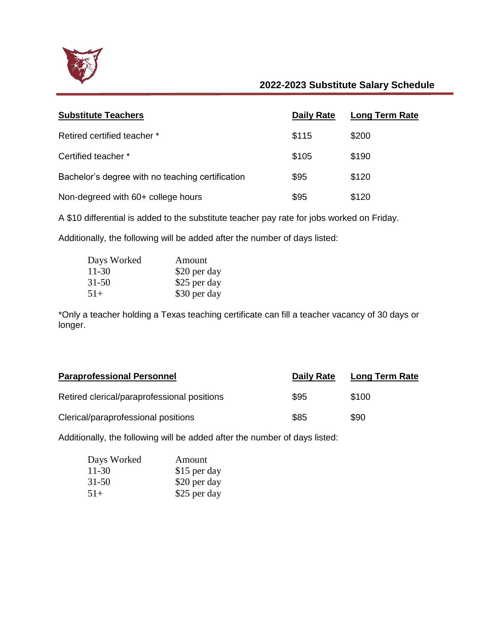

## **2022-2023 Substitute Salary Schedule**

| <b>Substitute Teachers</b>                       | <b>Daily Rate</b> | <b>Long Term Rate</b> |
|--------------------------------------------------|-------------------|-----------------------|
| Retired certified teacher *                      | \$115             | \$200                 |
| Certified teacher *                              | \$105             | \$190                 |
| Bachelor's degree with no teaching certification | \$95              | \$120                 |
| Non-degreed with 60+ college hours               | \$95              | \$120                 |

A \$10 differential is added to the substitute teacher pay rate for jobs worked on Friday.

Additionally, the following will be added after the number of days listed:

| Days Worked | Amount       |
|-------------|--------------|
| 11-30       | \$20 per day |
| $31 - 50$   | \$25 per day |
| $51+$       | \$30 per day |

\*Only a teacher holding a Texas teaching certificate can fill a teacher vacancy of 30 days or longer.

| <b>Paraprofessional Personnel</b>           | Daily Rate | <b>Long Term Rate</b> |
|---------------------------------------------|------------|-----------------------|
| Retired clerical/paraprofessional positions | \$95       | \$100                 |
| Clerical/paraprofessional positions         | \$85       | \$90                  |

Additionally, the following will be added after the number of days listed:

| Days Worked | Amount       |
|-------------|--------------|
| $11 - 30$   | \$15 per day |
| $31 - 50$   | \$20 per day |
| $51+$       | \$25 per day |